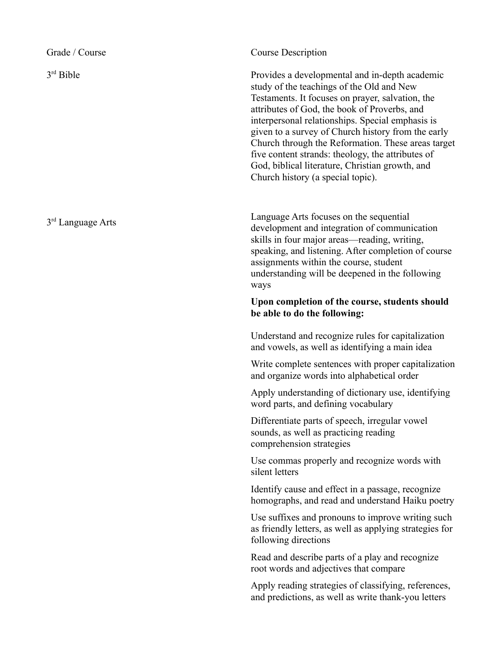| Grade / Course                | <b>Course Description</b>                                                                                                                                                                                                                                                                                                                                                                                                                                                                                    |
|-------------------------------|--------------------------------------------------------------------------------------------------------------------------------------------------------------------------------------------------------------------------------------------------------------------------------------------------------------------------------------------------------------------------------------------------------------------------------------------------------------------------------------------------------------|
| $3rd$ Bible                   | Provides a developmental and in-depth academic<br>study of the teachings of the Old and New<br>Testaments. It focuses on prayer, salvation, the<br>attributes of God, the book of Proverbs, and<br>interpersonal relationships. Special emphasis is<br>given to a survey of Church history from the early<br>Church through the Reformation. These areas target<br>five content strands: theology, the attributes of<br>God, biblical literature, Christian growth, and<br>Church history (a special topic). |
| 3 <sup>rd</sup> Language Arts | Language Arts focuses on the sequential<br>development and integration of communication<br>skills in four major areas—reading, writing,<br>speaking, and listening. After completion of course<br>assignments within the course, student<br>understanding will be deepened in the following<br>ways                                                                                                                                                                                                          |
|                               | Upon completion of the course, students should<br>be able to do the following:                                                                                                                                                                                                                                                                                                                                                                                                                               |
|                               | Understand and recognize rules for capitalization<br>and vowels, as well as identifying a main idea                                                                                                                                                                                                                                                                                                                                                                                                          |
|                               | Write complete sentences with proper capitalization<br>and organize words into alphabetical order                                                                                                                                                                                                                                                                                                                                                                                                            |
|                               | Apply understanding of dictionary use, identifying<br>word parts, and defining vocabulary                                                                                                                                                                                                                                                                                                                                                                                                                    |
|                               | Differentiate parts of speech, irregular vowel<br>sounds, as well as practicing reading<br>comprehension strategies                                                                                                                                                                                                                                                                                                                                                                                          |
|                               | Use commas properly and recognize words with<br>silent letters                                                                                                                                                                                                                                                                                                                                                                                                                                               |
|                               | Identify cause and effect in a passage, recognize<br>homographs, and read and understand Haiku poetry                                                                                                                                                                                                                                                                                                                                                                                                        |
|                               | Use suffixes and pronouns to improve writing such<br>as friendly letters, as well as applying strategies for<br>following directions                                                                                                                                                                                                                                                                                                                                                                         |
|                               | Read and describe parts of a play and recognize<br>root words and adjectives that compare                                                                                                                                                                                                                                                                                                                                                                                                                    |
|                               | Apply reading strategies of classifying, references,<br>and predictions, as well as write thank-you letters                                                                                                                                                                                                                                                                                                                                                                                                  |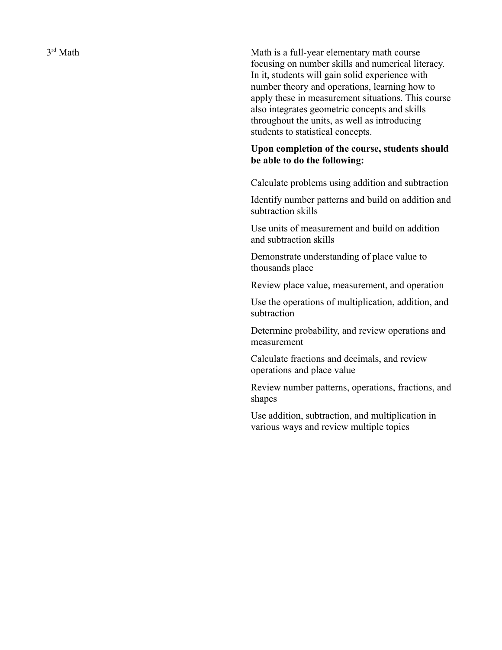3rd Math

Math is a full-year elementary math course focusing on number skills and numerical literacy. In it, students will gain solid experience with number theory and operations, learning how to apply these in measurement situations. This course also integrates geometric concepts and skills throughout the units, as well as introducing students to statistical concepts.

## **Upon completion of the course, students should be able to do the following:**

Calculate problems using addition and subtractio n

Identify number patterns and build on addition and subtraction skills

Use units of measurement and build on addition and subtraction skills

Demonstrate understanding of place value to thousands place

Review place value, measurement, and operation

Use the operations of multiplication, addition, and subtraction

Determine probability, and review operations and measurement

Calculate fractions and decimals, and review operations and place value

Review number patterns, operations, fractions, and shapes

Use addition, subtraction, and multiplication in various ways and review multiple topics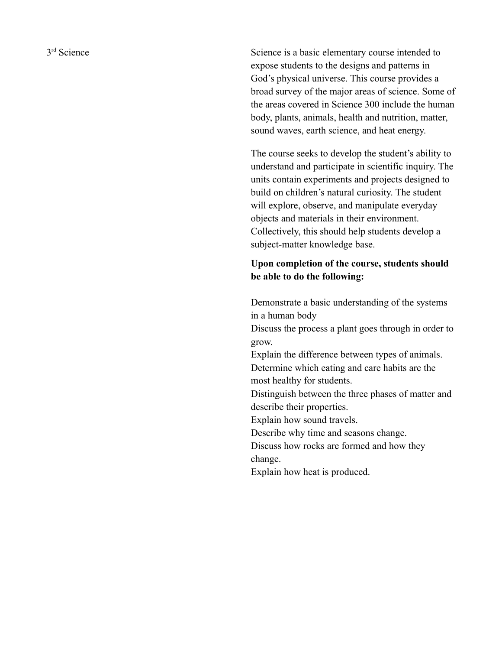3rd Science

Science is a basic elementary course intended to expose students to the designs and patterns in God's physical universe. This course provides a broad survey of the major areas of science. Some of the areas covered in Science 300 include the human body, plants, animals, health and nutrition, matter, sound waves, earth science, and heat energy.

The course seeks to develop the student's ability to understand and participate in scientific inquiry. The units contain experiments and projects designed to build on children's natural curiosity. The student will explore, observe, and manipulate everyday objects and materials in their environment. Collectively, this should help students develop a subject-matter knowledge base.

## **Upon completion of the course, students should be able to do the following:**

Demonstrate a basic understanding of the systems in a human body

Discuss the process a plant goes through in order to grow.

Explain the difference between types of animals. Determine which eating and care habits are the most healthy for students.

Distinguish between the three phases of matter and describe their properties.

Explain how sound travels.

Describe why time and seasons change.

Discuss how rocks are formed and how they change.

Explain how heat is produced.